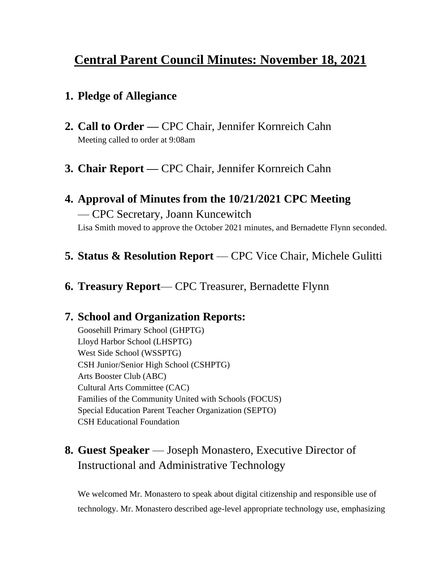# **Central Parent Council Minutes: November 18, 2021**

### **1. Pledge of Allegiance**

- **2. Call to Order —** CPC Chair, Jennifer Kornreich Cahn Meeting called to order at 9:08am
- **3. Chair Report —** CPC Chair, Jennifer Kornreich Cahn

### **4. Approval of Minutes from the 10/21/2021 CPC Meeting** — CPC Secretary, Joann Kuncewitch Lisa Smith moved to approve the October 2021 minutes, and Bernadette Flynn seconded.

- **5. Status & Resolution Report**  CPC Vice Chair, Michele Gulitti
- **6. Treasury Report** CPC Treasurer, Bernadette Flynn

### **7. School and Organization Reports:**

Goosehill Primary School (GHPTG) Lloyd Harbor School (LHSPTG) West Side School (WSSPTG) CSH Junior/Senior High School (CSHPTG) Arts Booster Club (ABC) Cultural Arts Committee (CAC) Families of the Community United with Schools (FOCUS) Special Education Parent Teacher Organization (SEPTO) CSH Educational Foundation

## **8. Guest Speaker** — Joseph Monastero, Executive Director of Instructional and Administrative Technology

We welcomed Mr. Monastero to speak about digital citizenship and responsible use of technology. Mr. Monastero described age-level appropriate technology use, emphasizing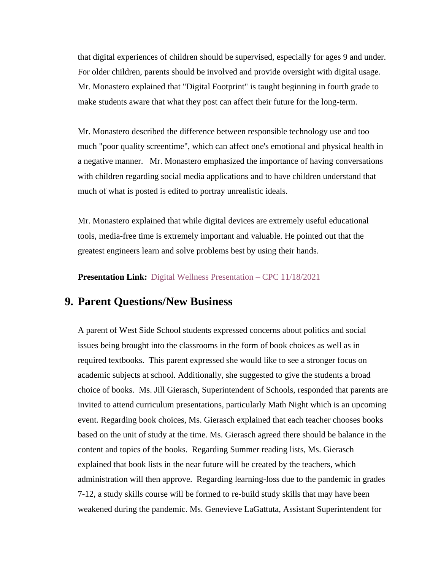that digital experiences of children should be supervised, especially for ages 9 and under. For older children, parents should be involved and provide oversight with digital usage. Mr. Monastero explained that "Digital Footprint" is taught beginning in fourth grade to make students aware that what they post can affect their future for the long-term.

Mr. Monastero described the difference between responsible technology use and too much "poor quality screentime", which can affect one's emotional and physical health in a negative manner. Mr. Monastero emphasized the importance of having conversations with children regarding social media applications and to have children understand that much of what is posted is edited to portray unrealistic ideals.

Mr. Monastero explained that while digital devices are extremely useful educational tools, media-free time is extremely important and valuable. He pointed out that the greatest engineers learn and solve problems best by using their hands.

**Presentation Link:** [Digital Wellness Presentation –](https://na01.safelinks.protection.outlook.com/?url=http%3A%2F%2Ftrack.spe.schoolmessenger.com%2Ff%2Fa%2FMtrM57NPSIIh_qIKwEtXlQ~~%2FAAAAAQA~%2FRgRjeU8aP0RkaHR0cHM6Ly9kb2NzLmdvb2dsZS5jb20vcHJlc2VudGF0aW9uL2QvMWg2M0V4czdvSS1qWUVSODQwMWlqUl9yTXdEWjkzc1F5UVRwY3JGVV9tUzgvZWRpdD91c3A9c2hhcmluZ1cHc2Nob29sbUIKYYuaG5hh9ZX-2lIXam9hbm5hbWFyZ2FAaG90bWFpbC5jb21YBAAAAAE~&data=04%7C01%7C%7C887f95a62ef442645e9d08d9aba647f1%7C84df9e7fe9f640afb435aaaaaaaaaaaa%7C1%7C0%7C637729552931285799%7CUnknown%7CTWFpbGZsb3d8eyJWIjoiMC4wLjAwMDAiLCJQIjoiV2luMzIiLCJBTiI6Ik1haWwiLCJXVCI6Mn0%3D%7C3000&sdata=C0dJ9Y74SUEG9VzjWl6Or%2B9wxoVfZrZL1FESEcORhI8%3D&reserved=0) CPC 11/18/2021

#### **9. Parent Questions/New Business**

A parent of West Side School students expressed concerns about politics and social issues being brought into the classrooms in the form of book choices as well as in required textbooks. This parent expressed she would like to see a stronger focus on academic subjects at school. Additionally, she suggested to give the students a broad choice of books. Ms. Jill Gierasch, Superintendent of Schools, responded that parents are invited to attend curriculum presentations, particularly Math Night which is an upcoming event. Regarding book choices, Ms. Gierasch explained that each teacher chooses books based on the unit of study at the time. Ms. Gierasch agreed there should be balance in the content and topics of the books. Regarding Summer reading lists, Ms. Gierasch explained that book lists in the near future will be created by the teachers, which administration will then approve. Regarding learning-loss due to the pandemic in grades 7-12, a study skills course will be formed to re-build study skills that may have been weakened during the pandemic. Ms. Genevieve LaGattuta, Assistant Superintendent for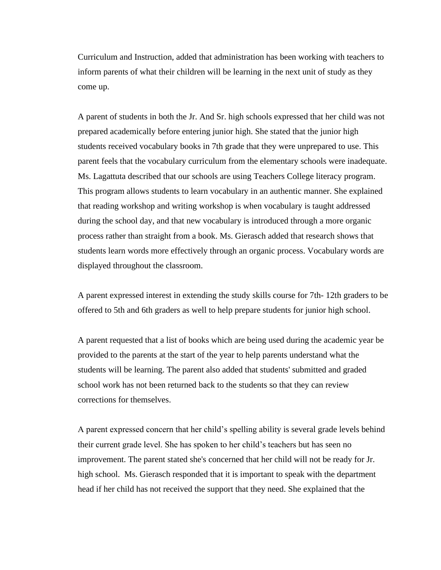Curriculum and Instruction, added that administration has been working with teachers to inform parents of what their children will be learning in the next unit of study as they come up.

A parent of students in both the Jr. And Sr. high schools expressed that her child was not prepared academically before entering junior high. She stated that the junior high students received vocabulary books in 7th grade that they were unprepared to use. This parent feels that the vocabulary curriculum from the elementary schools were inadequate. Ms. Lagattuta described that our schools are using Teachers College literacy program. This program allows students to learn vocabulary in an authentic manner. She explained that reading workshop and writing workshop is when vocabulary is taught addressed during the school day, and that new vocabulary is introduced through a more organic process rather than straight from a book. Ms. Gierasch added that research shows that students learn words more effectively through an organic process. Vocabulary words are displayed throughout the classroom.

A parent expressed interest in extending the study skills course for 7th- 12th graders to be offered to 5th and 6th graders as well to help prepare students for junior high school.

A parent requested that a list of books which are being used during the academic year be provided to the parents at the start of the year to help parents understand what the students will be learning. The parent also added that students' submitted and graded school work has not been returned back to the students so that they can review corrections for themselves.

A parent expressed concern that her child's spelling ability is several grade levels behind their current grade level. She has spoken to her child's teachers but has seen no improvement. The parent stated she's concerned that her child will not be ready for Jr. high school. Ms. Gierasch responded that it is important to speak with the department head if her child has not received the support that they need. She explained that the